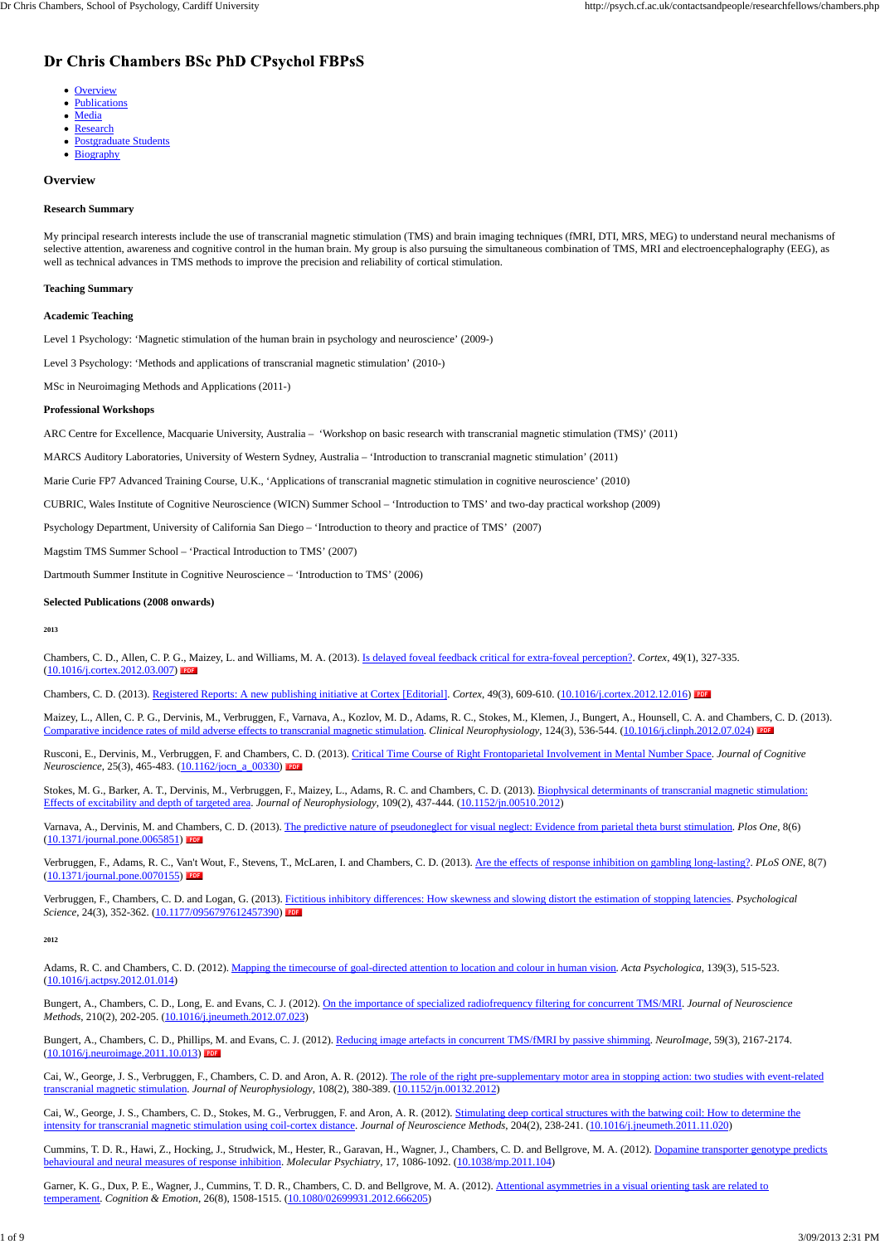#### **Overview**

#### **Research Summary**

My principal research interests include the use of transcranial magnetic stimulation (TMS) and brain imaging techniques (fMRI, DTI, MRS, MEG) to understand neural mechanisms of selective attention, awareness and cognitive control in the human brain. My group is also pursuing the simultaneous combination of TMS, MRI and electroencephalography (EEG), as well as technical advances in TMS methods to improve the precision and reliability of cortical stimulation.

#### **Teaching Summary**

#### **Academic Teaching**

Level 1 Psychology: 'Magnetic stimulation of the human brain in psychology and neuroscience' (2009-)

Level 3 Psychology: 'Methods and applications of transcranial magnetic stimulation' (2010-)

MSc in Neuroimaging Methods and Applications (2011-)

#### **Professional Workshops**

ARC Centre for Excellence, Macquarie University, Australia – 'Workshop on basic research with transcranial magnetic stimulation (TMS)' (2011)

MARCS Auditory Laboratories, University of Western Sydney, Australia – 'Introduction to transcranial magnetic stimulation' (2011)

Maizey, L., Allen, C. P. G., Dervinis, M., Verbruggen, F., Varnava, A., Kozlov, M. D., Adams, R. C., Stokes, M., Klemen, J., Bungert, A., Hounsell, C. A. and Chambers, C. D. (2013). Comparative incidence rates of mild adverse effects to transcranial magnetic stimulation. *Clinical Neurophysiology*, 124(3), 536-544. (10.1016/j.clinph.2012.07.024)

Rusconi, E., Dervinis, M., Verbruggen, F. and Chambers, C. D. (2013). Critical Time Course of Right Frontoparietal Involvement in Mental Number Space. *Journal of Cognitive Neuroscience*, 25(3), 465-483. (10.1162/jocn\_a\_00330)

Marie Curie FP7 Advanced Training Course, U.K., 'Applications of transcranial magnetic stimulation in cognitive neuroscience' (2010)

CUBRIC, Wales Institute of Cognitive Neuroscience (WICN) Summer School – 'Introduction to TMS' and two-day practical workshop (2009)

Psychology Department, University of California San Diego – 'Introduction to theory and practice of TMS' (2007)

Stokes, M. G., Barker, A. T., Dervinis, M., Verbruggen, F., Maizey, L., Adams, R. C. and Chambers, C. D. (2013). Biophysical determinants of transcranial magnetic stimulation: Effects of excitability and depth of targeted area. *Journal of Neurophysiology*, 109(2), 437-444. (10.1152/jn.00510.2012)

Magstim TMS Summer School – 'Practical Introduction to TMS' (2007)

Dartmouth Summer Institute in Cognitive Neuroscience – 'Introduction to TMS' (2006)

Verbruggen, F., Chambers, C. D. and Logan, G. (2013). Fictitious inhibitory differences: How skewness and slowing distort the estimation of stopping latencies. *Psychological Science*, 24(3), 352-362. (10.1177/0956797612457390) PDF

#### **Selected Publications (2008 onwards)**

**2013**

Chambers, C. D., Allen, C. P. G., Maizey, L. and Williams, M. A. (2013). Is delayed foveal feedback critical for extra-foveal perception?. *Cortex*, 49(1), 327-335. (10.1016/j.cortex.2012.03.007)

Chambers, C. D. (2013). Registered Reports: A new publishing initiative at Cortex [Editorial]. *Cortex*, 49(3), 609-610. (10.1016/j.cortex.2012.12.016)

Cai, W., George, J. S., Verbruggen, F., Chambers, C. D. and Aron, A. R. (2012). The role of the right pre-supplementary motor area in stopping action: two studies with event-related transcranial magnetic stimulation. *Journal of Neurophysiology*, 108(2), 380-389. (10.1152/jn.00132.2012)

Cummins, T. D. R., Hawi, Z., Hocking, J., Strudwick, M., Hester, R., Garavan, H., Wagner, J., Chambers, C. D. and Bellgrove, M. A. (2012). Dopamine transporter genotype predicts behavioural and neural measures of response inhibition. *Molecular Psychiatry*, 17, 1086-1092. (10.1038/mp.2011.104)

Garner, K. G., Dux, P. E., Wagner, J., Cummins, T. D. R., Chambers, C. D. and Bellgrove, M. A. (2012). Attentional asymmetries in a visual orienting task are related to temperament. *Cognition & Emotion*, 26(8), 1508-1515. (10.1080/02699931.2012.666205)

Varnava, A., Dervinis, M. and Chambers, C. D. (2013). The predictive nature of pseudoneglect for visual neglect: Evidence from parietal theta burst stimulation. *Plos One*, 8(6) (10.1371/journal.pone.0065851)

Verbruggen, F., Adams, R. C., Van't Wout, F., Stevens, T., McLaren, I. and Chambers, C. D. (2013). Are the effects of response inhibition on gambling long-lasting?. *PLoS ONE*, 8(7) (10.1371/journal.pone.0070155)

Adams, R. C. and Chambers, C. D. (2012). Mapping the timecourse of goal-directed attention to location and colour in human vision. *Acta Psychologica*, 139(3), 515-523. (10.1016/j.actpsy.2012.01.014)

Bungert, A., Chambers, C. D., Long, E. and Evans, C. J. (2012). On the importance of specialized radiofrequency filtering for concurrent TMS/MRI. *Journal of Neuroscience Methods*, 210(2), 202-205. (10.1016/j.jneumeth.2012.07.023)

Bungert, A., Chambers, C. D., Phillips, M. and Evans, C. J. (2012). Reducing image artefacts in concurrent TMS/fMRI by passive shimming. *NeuroImage*, 59(3), 2167-2174. (10.1016/j.neuroimage.2011.10.013)

Cai, W., George, J. S., Chambers, C. D., Stokes, M. G., Verbruggen, F. and Aron, A. R. (2012). Stimulating deep cortical structures with the batwing coil: How to determine the intensity for transcranial magnetic stimulation using coil-cortex distance. *Journal of Neuroscience Methods*, 204(2), 238-241. (10.1016/j.jneumeth.2011.11.020)

### Dr Chris Chambers BSc PhD CPsychol FBPsS

- Overview
- **Publications**  $\bullet$
- Media
- Research
- Postgraduate Students
- Biography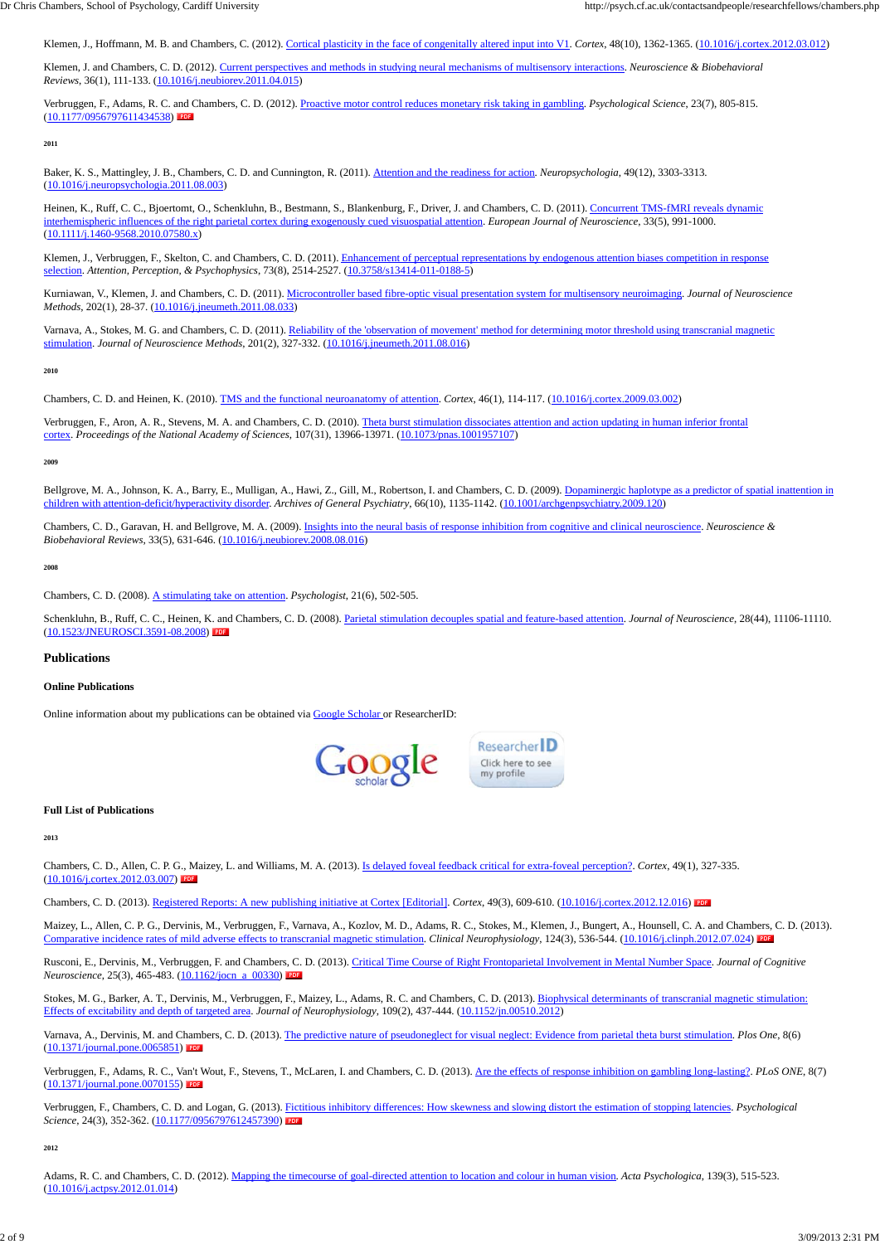Klemen, J. and Chambers, C. D. (2012). Current perspectives and methods in studying neural mechanisms of multisensory interactions. *Neuroscience & Biobehavioral Reviews*, 36(1), 111-133. (10.1016/j.neubiorev.2011.04.015)

Verbruggen, F., Adams, R. C. and Chambers, C. D. (2012). Proactive motor control reduces monetary risk taking in gambling. *Psychological Science*, 23(7), 805-815. (10.1177/0956797611434538)

Heinen, K., Ruff, C. C., Bjoertomt, O., Schenkluhn, B., Bestmann, S., Blankenburg, F., Driver, J. and Chambers, C. D. (2011). Concurrent TMS-fMRI reveals dynamic interhemispheric influences of the right parietal cortex during exogenously cued visuospatial attention. *European Journal of Neuroscience*, 33(5), 991-1000. (10.1111/j.1460-9568.2010.07580.x)

**2011**

Baker, K. S., Mattingley, J. B., Chambers, C. D. and Cunnington, R. (2011). Attention and the readiness for action. *Neuropsychologia*, 49(12), 3303-3313. (10.1016/j.neuropsychologia.2011.08.003)

Klemen, J., Verbruggen, F., Skelton, C. and Chambers, C. D. (2011). Enhancement of perceptual representations by endogenous attention biases competition in response selection. *Attention, Perception, & Psychophysics*, 73(8), 2514-2527. (10.3758/s13414-011-0188-5)

Varnava, A., Stokes, M. G. and Chambers, C. D. (2011). Reliability of the 'observation of movement' method for determining motor threshold using transcranial magnetic stimulation. *Journal of Neuroscience Methods*, 201(2), 327-332. (10.1016/j.jneumeth.2011.08.016)

Bellgrove, M. A., Johnson, K. A., Barry, E., Mulligan, A., Hawi, Z., Gill, M., Robertson, I. and Chambers, C. D. (2009). Dopaminergic haplotype as a predictor of spatial inattention in children with attention-deficit/hyperactivity disorder. *Archives of General Psychiatry*, 66(10), 1135-1142. (10.1001/archgenpsychiatry.2009.120)

Kurniawan, V., Klemen, J. and Chambers, C. D. (2011). Microcontroller based fibre-optic visual presentation system for multisensory neuroimaging. *Journal of Neuroscience Methods*, 202(1), 28-37. (10.1016/j.jneumeth.2011.08.033)

**2010**

Chambers, C. D. and Heinen, K. (2010). TMS and the functional neuroanatomy of attention. *Cortex*, 46(1), 114-117. (10.1016/j.cortex.2009.03.002)

Rusconi, E., Dervinis, M., Verbruggen, F. and Chambers, C. D. (2013). Critical Time Course of Right Frontoparietal Involvement in Mental Number Space. *Journal of Cognitive Neuroscience*, 25(3), 465-483. (10.1162/jocn\_a\_00330)

Verbruggen, F., Aron, A. R., Stevens, M. A. and Chambers, C. D. (2010). Theta burst stimulation dissociates attention and action updating in human inferior frontal cortex. *Proceedings of the National Academy of Sciences*, 107(31), 13966-13971. (10.1073/pnas.1001957107)

Stokes, M. G., Barker, A. T., Dervinis, M., Verbruggen, F., Maizey, L., Adams, R. C. and Chambers, C. D. (2013). Biophysical determinants of transcranial magnetic stimulation: Effects of excitability and depth of targeted area. *Journal of Neurophysiology*, 109(2), 437-444. (10.1152/jn.00510.2012)

**2009**

Verbruggen, F., Chambers, C. D. and Logan, G. (2013). Fictitious inhibitory differences: How skewness and slowing distort the estimation of stopping latencies. *Psychological Science*, 24(3), 352-362. (10.1177/0956797612457390)

Chambers, C. D., Garavan, H. and Bellgrove, M. A. (2009). Insights into the neural basis of response inhibition from cognitive and clinical neuroscience. *Neuroscience & Biobehavioral Reviews*, 33(5), 631-646. (10.1016/j.neubiorev.2008.08.016)

**2008**

Chambers, C. D. (2008). A stimulating take on attention. *Psychologist*, 21(6), 502-505.

Schenkluhn, B., Ruff, C. C., Heinen, K. and Chambers, C. D. (2008). Parietal stimulation decouples spatial and feature-based attention. *Journal of Neuroscience*, 28(44), 11106-11110. (10.1523/JNEUROSCI.3591-08.2008)

**Publications**

**Online Publications**

Online information about my publications can be obtained via Google Scholar or ResearcherID:



**Full List of Publications**

**2013**

Chambers, C. D., Allen, C. P. G., Maizey, L. and Williams, M. A. (2013). Is delayed foveal feedback critical for extra-foveal perception?. *Cortex*, 49(1), 327-335. (10.1016/j.cortex.2012.03.007)

Chambers, C. D. (2013). Registered Reports: A new publishing initiative at Cortex [Editorial]. *Cortex*, 49(3), 609-610. (10.1016/j.cortex.2012.12.016)

Maizey, L., Allen, C. P. G., Dervinis, M., Verbruggen, F., Varnava, A., Kozlov, M. D., Adams, R. C., Stokes, M., Klemen, J., Bungert, A., Hounsell, C. A. and Chambers, C. D. (2013). of mild adverse effects to transcranial magnetic stimulation. *Clinical Neurophysiology*, 124(3), 536-544. (10.1016/j.clinph.2012.07.024)

Varnava, A., Dervinis, M. and Chambers, C. D. (2013). The predictive nature of pseudoneglect for visual neglect: Evidence from parietal theta burst stimulation. *Plos One*, 8(6) (10.1371/journal.pone.0065851)

Verbruggen, F., Adams, R. C., Van't Wout, F., Stevens, T., McLaren, I. and Chambers, C. D. (2013). Are the effects of response inhibition on gambling long-lasting?. *PLoS ONE*, 8(7) (10.1371/journal.pone.0070155)

#### **2012**

Adams, R. C. and Chambers, C. D. (2012). Mapping the timecourse of goal-directed attention to location and colour in human vision. *Acta Psychologica*, 139(3), 515-523. (10.1016/j.actpsy.2012.01.014)

Klemen, J., Hoffmann, M. B. and Chambers, C. (2012). Cortical plasticity in the face of congenitally altered input into V1. *Cortex*, 48(10), 1362-1365. (10.1016/j.cortex.2012.03.012)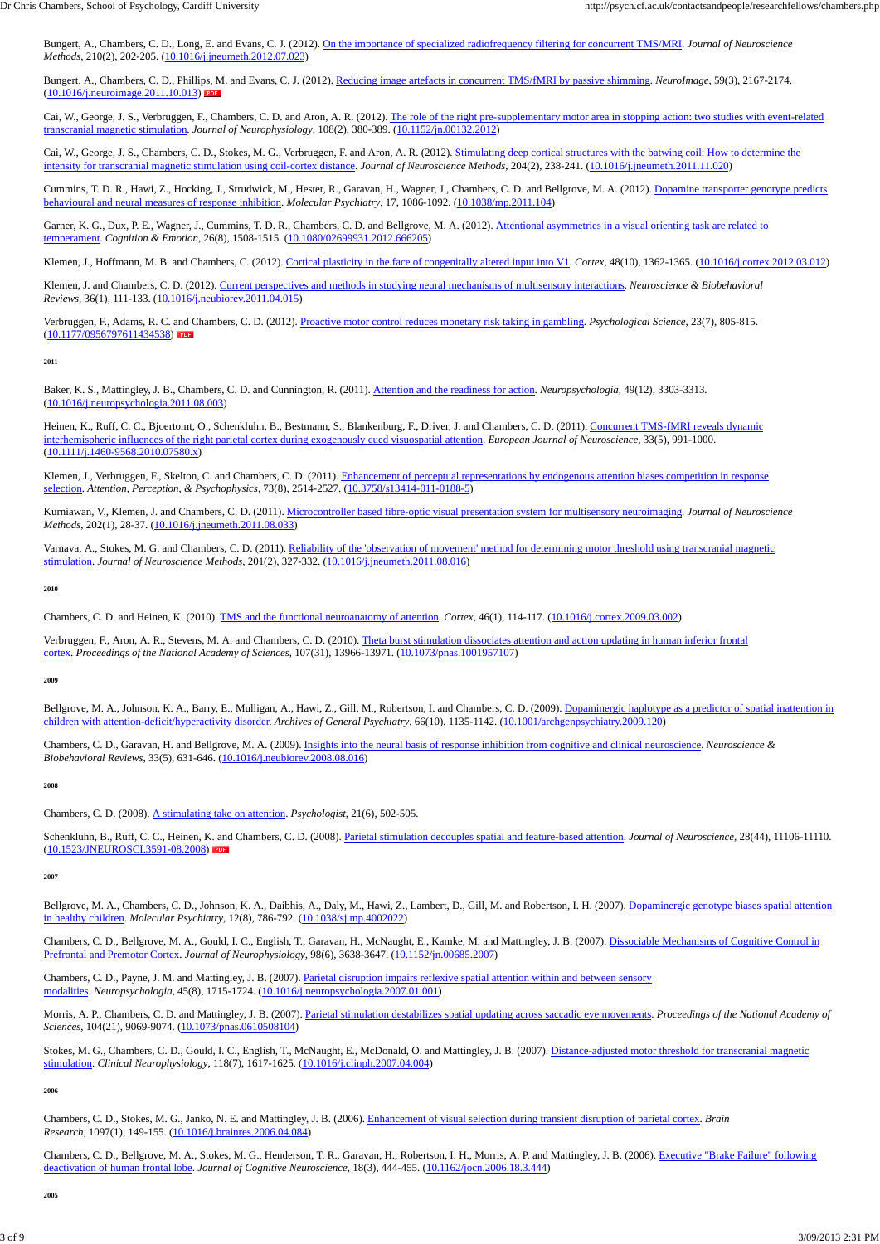Bungert, A., Chambers, C. D., Long, E. and Evans, C. J. (2012). On the importance of specialized radiofrequency filtering for concurrent TMS/MRI. *Journal of Neuroscience Methods*, 210(2), 202-205. (10.1016/j.jneumeth.2012.07.023)

Bungert, A., Chambers, C. D., Phillips, M. and Evans, C. J. (2012). Reducing image artefacts in concurrent TMS/fMRI by passive shimming. *NeuroImage*, 59(3), 2167-2174. (10.1016/j.neuroimage.2011.10.013)

Cai, W., George, J. S., Verbruggen, F., Chambers, C. D. and Aron, A. R. (2012). The role of the right pre-supplementary motor area in stopping action: two studies with event-related transcranial magnetic stimulation. *Journal of Neurophysiology*, 108(2), 380-389. (10.1152/jn.00132.2012)

Cai, W., George, J. S., Chambers, C. D., Stokes, M. G., Verbruggen, F. and Aron, A. R. (2012). Stimulating deep cortical structures with the batwing coil: How to determine the intensity for transcranial magnetic stimulation using coil-cortex distance. *Journal of Neuroscience Methods*, 204(2), 238-241. (10.1016/j.jneumeth.2011.11.020)

Garner, K. G., Dux, P. E., Wagner, J., Cummins, T. D. R., Chambers, C. D. and Bellgrove, M. A. (2012). Attentional asymmetries in a visual orienting task are related to temperament. *Cognition & Emotion*, 26(8), 1508-1515. (10.1080/02699931.2012.666205)

Klemen, J., Hoffmann, M. B. and Chambers, C. (2012). Cortical plasticity in the face of congenitally altered input into V1. *Cortex*, 48(10), 1362-1365. (10.1016/j.cortex.2012.03.012)

Cummins, T. D. R., Hawi, Z., Hocking, J., Strudwick, M., Hester, R., Garavan, H., Wagner, J., Chambers, C. D. and Bellgrove, M. A. (2012). Dopamine transporter genotype predicts behavioural and neural measures of response inhibition. *Molecular Psychiatry*, 17, 1086-1092. (10.1038/mp.2011.104)

Heinen, K., Ruff, C. C., Bjoertomt, O., Schenkluhn, B., Bestmann, S., Blankenburg, F., Driver, J. and Chambers, C. D. (2011). Concurrent TMS-fMRI reveals dynamic interhemispheric influences of the right parietal cortex during exogenously cued visuospatial attention. *European Journal of Neuroscience*, 33(5), 991-1000. (10.1111/j.1460-9568.2010.07580.x)

Klemen, J., Verbruggen, F., Skelton, C. and Chambers, C. D. (2011). Enhancement of perceptual representations by endogenous attention biases competition in response selection. *Attention, Perception, & Psychophysics*, 73(8), 2514-2527. (10.3758/s13414-011-0188-5)

Klemen, J. and Chambers, C. D. (2012). Current perspectives and methods in studying neural mechanisms of multisensory interactions. *Neuroscience & Biobehavioral Reviews*, 36(1), 111-133. (10.1016/j.neubiorev.2011.04.015)

Verbruggen, F., Aron, A. R., Stevens, M. A. and Chambers, C. D. (2010). Theta burst stimulation dissociates attention and action updating in human inferior frontal cortex. *Proceedings of the National Academy of Sciences*, 107(31), 13966-13971. (10.1073/pnas.1001957107)

Verbruggen, F., Adams, R. C. and Chambers, C. D. (2012). Proactive motor control reduces monetary risk taking in gambling. *Psychological Science*, 23(7), 805-815. (10.1177/0956797611434538)

Bellgrove, M. A., Johnson, K. A., Barry, E., Mulligan, A., Hawi, Z., Gill, M., Robertson, I. and Chambers, C. D. (2009). Dopaminergic haplotype as a predictor of spatial inattention in children with attention-deficit/hyperactivity disorder. *Archives of General Psychiatry*, 66(10), 1135-1142. (10.1001/archgenpsychiatry.2009.120)

#### **2011**

Baker, K. S., Mattingley, J. B., Chambers, C. D. and Cunnington, R. (2011). Attention and the readiness for action. *Neuropsychologia*, 49(12), 3303-3313. (10.1016/j.neuropsychologia.2011.08.003)

Bellgrove, M. A., Chambers, C. D., Johnson, K. A., Daibhis, A., Daly, M., Hawi, Z., Lambert, D., Gill, M. and Robertson, I. H. (2007). Dopaminergic genotype biases spatial attention in healthy children. *Molecular Psychiatry*, 12(8), 786-792. (10.1038/sj.mp.4002022)

Chambers, C. D., Bellgrove, M. A., Gould, I. C., English, T., Garavan, H., McNaught, E., Kamke, M. and Mattingley, J. B. (2007). Dissociable Mechanisms of Cognitive Control in Prefrontal and Premotor Cortex. *Journal of Neurophysiology*, 98(6), 3638-3647. (10.1152/jn.00685.2007)

Kurniawan, V., Klemen, J. and Chambers, C. D. (2011). Microcontroller based fibre-optic visual presentation system for multisensory neuroimaging. *Journal of Neuroscience Methods*, 202(1), 28-37. (10.1016/j.jneumeth.2011.08.033)

Chambers, C. D., Bellgrove, M. A., Stokes, M. G., Henderson, T. R., Garavan, H., Robertson, I. H., Morris, A. P. and Mattingley, J. B. (2006). Executive "Brake Failure" following deactivation of human frontal lobe. *Journal of Cognitive Neuroscience*, 18(3), 444-455. (10.1162/jocn.2006.18.3.444)

Varnava, A., Stokes, M. G. and Chambers, C. D. (2011). Reliability of the 'observation of movement' method for determining motor threshold using transcranial magnetic stimulation. *Journal of Neuroscience Methods*, 201(2), 327-332. (10.1016/j.jneumeth.2011.08.016)

**2010**

Chambers, C. D. and Heinen, K. (2010). TMS and the functional neuroanatomy of attention. *Cortex*, 46(1), 114-117. (10.1016/j.cortex.2009.03.002)

**2009**

Chambers, C. D., Garavan, H. and Bellgrove, M. A. (2009). Insights into the neural basis of response inhibition from cognitive and clinical neuroscience. *Neuroscience & Biobehavioral Reviews*, 33(5), 631-646. (10.1016/j.neubiorev.2008.08.016)

**2008**

Chambers, C. D. (2008). A stimulating take on attention. *Psychologist*, 21(6), 502-505.

Schenkluhn, B., Ruff, C. C., Heinen, K. and Chambers, C. D. (2008). Parietal stimulation decouples spatial and feature-based attention. *Journal of Neuroscience*, 28(44), 11106-11110. (10.1523/JNEUROSCI.3591-08.2008)

**2007**

Chambers, C. D., Payne, J. M. and Mattingley, J. B. (2007). Parietal disruption impairs reflexive spatial attention within and between sensory modalities. *Neuropsychologia*, 45(8), 1715-1724. (10.1016/j.neuropsychologia.2007.01.001)

Morris, A. P., Chambers, C. D. and Mattingley, J. B. (2007). Parietal stimulation destabilizes spatial updating across saccadic eye movements. *Proceedings of the National Academy of Sciences*, 104(21), 9069-9074. (10.1073/pnas.0610508104)

Stokes, M. G., Chambers, C. D., Gould, I. C., English, T., McNaught, E., McDonald, O. and Mattingley, J. B. (2007). Distance-adjusted motor threshold for transcranial magnetic stimulation. *Clinical Neurophysiology*, 118(7), 1617-1625. (10.1016/j.clinph.2007.04.004)

#### **2006**

Chambers, C. D., Stokes, M. G., Janko, N. E. and Mattingley, J. B. (2006). Enhancement of visual selection during transient disruption of parietal cortex. *Brain Research*, 1097(1), 149-155. (10.1016/j.brainres.2006.04.084)

**2005**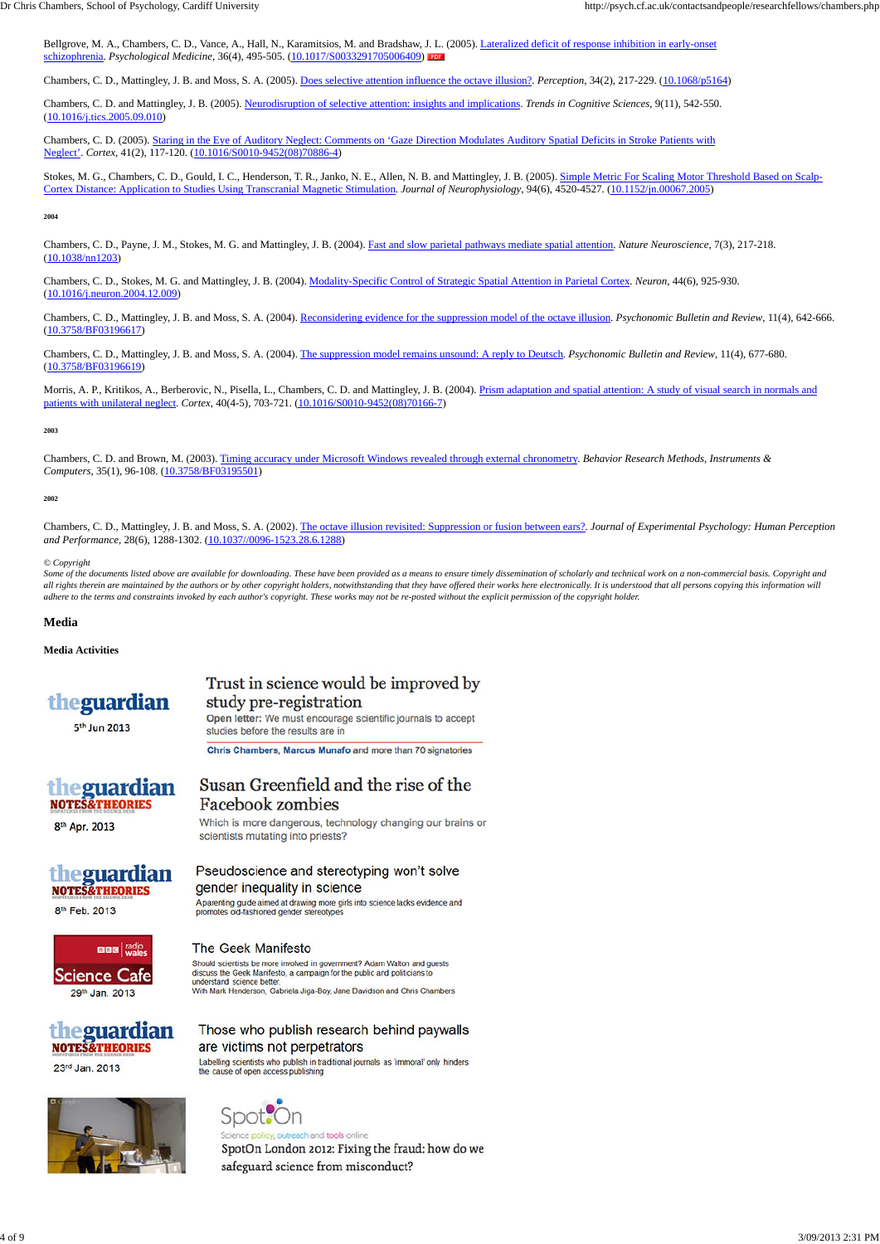Bellgrove, M. A., Chambers, C. D., Vance, A., Hall, N., Karamitsios, M. and Bradshaw, J. L. (2005). Lateralized deficit of response inhibition in early-onset schizophrenia. *Psychological Medicine*, 36(4), 495-505. (10.1017/S0033291705006409)

Chambers, C. D., Mattingley, J. B. and Moss, S. A. (2005). Does selective attention influence the octave illusion?. *Perception*, 34(2), 217-229. (10.1068/p5164)

Chambers, C. D. and Mattingley, J. B. (2005). Neurodisruption of selective attention: insights and implications. *Trends in Cognitive Sciences*, 9(11), 542-550. (10.1016/j.tics.2005.09.010)

Stokes, M. G., Chambers, C. D., Gould, I. C., Henderson, T. R., Janko, N. E., Allen, N. B. and Mattingley, J. B. (2005). Simple Metric For Scaling Motor Threshold Based on Scalp-Cortex Distance: Application to Studies Using Transcranial Magnetic Stimulation. *Journal of Neurophysiology*, 94(6), 4520-4527. (10.1152/jn.00067.2005)

Chambers, C. D. (2005). Staring in the Eye of Auditory Neglect: Comments on 'Gaze Direction Modulates Auditory Spatial Deficits in Stroke Patients with Neglect'. *Cortex*, 41(2), 117-120. (10.1016/S0010-9452(08)70886-4)

Morris, A. P., Kritikos, A., Berberovic, N., Pisella, L., Chambers, C. D. and Mattingley, J. B. (2004). Prism adaptation and spatial attention: A study of visual search in normals and patients with unilateral neglect. *Cortex*, 40(4-5), 703-721. (10.1016/S0010-9452(08)70166-7)

#### **2004**

Chambers, C. D., Payne, J. M., Stokes, M. G. and Mattingley, J. B. (2004). Fast and slow parietal pathways mediate spatial attention. *Nature Neuroscience*, 7(3), 217-218. (10.1038/nn1203)

Chambers, C. D., Stokes, M. G. and Mattingley, J. B. (2004). Modality-Specific Control of Strategic Spatial Attention in Parietal Cortex. *Neuron*, 44(6), 925-930. (10.1016/j.neuron.2004.12.009)

Chambers, C. D., Mattingley, J. B. and Moss, S. A. (2004). Reconsidering evidence for the suppression model of the octave illusion. *Psychonomic Bulletin and Review*, 11(4), 642-666. (10.3758/BF03196617)

Some of the documents listed above are available for downloading. These have been provided as a means to ensure timely dissemination of scholarly and technical work on a non-commercial basis. Copyright and *all rights therein are maintained by the authors or by other copyright holders, notwithstanding that they have offered their works here electronically. It is understood that all persons copying this information will adhere to the terms and constraints invoked by each author's copyright. These works may not be re-posted without the explicit permission of the copyright holder.*

Chambers, C. D., Mattingley, J. B. and Moss, S. A. (2004). The suppression model remains unsound: A reply to Deutsch. *Psychonomic Bulletin and Review*, 11(4), 677-680. (10.3758/BF03196619)

#### **2003**

Chambers, C. D. and Brown, M. (2003). Timing accuracy under Microsoft Windows revealed through external chronometry. *Behavior Research Methods, Instruments & Computers*, 35(1), 96-108. (10.3758/BF03195501)

#### **2002**

Chambers, C. D., Mattingley, J. B. and Moss, S. A. (2002). The octave illusion revisited: Suppression or fusion between ears?. *Journal of Experimental Psychology: Human Perception and Performance*, 28(6), 1288-1302. (10.1037//0096-1523.28.6.1288)

#### *© Copyright*

#### **Media**

#### **Media Activities**

## theguardian

## Trust in science would be improved by study pre-registration

5<sup>th</sup> Jun 2013

Open letter: We must encourage scientific journals to accept studies before the results are in

Chris Chambers, Marcus Munafo and more than 70 signatories



### Susan Greenfield and the rise of the **Facebook zombies**

8<sup>th</sup> Apr. 2013

Which is more dangerous, technology changing our brains or scientists mutating into priests?

## theguar **NOTES&THEORIES**

Pseudoscience and stereotyping won't solve gender inequality in science A parenting guide aimed at drawing more girls into science lacks evidence and

8th Feb. 2013



#### **The Geek Manifesto**

promotes old-fashioned gender stereotypes

Should scientists be more involved in government? Adam Walton and guests discuss the Geek Manifesto, a campaign for the public and politicians to understand science better With Mark Henderson, Gabriela Jiga-Boy, Jane Davidson and Chris Chambers





Those who publish research behind paywalls are victims not perpetrators

Labelling scientists who publish in traditional journals as 'immoral' only hinders the cause of open access publishing

Spot reach and tools online SpotOn London 2012: Fixing the fraud: how do we safeguard science from misconduct?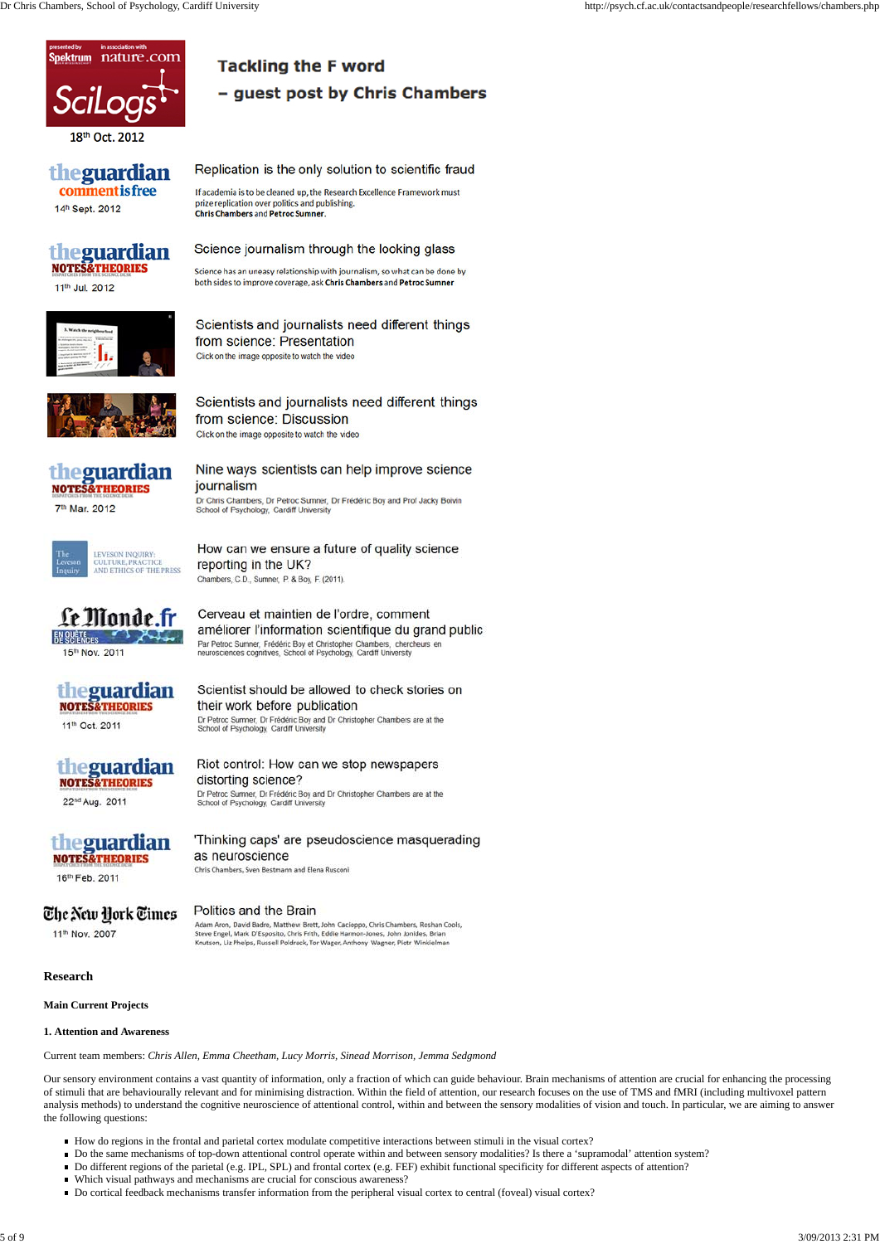#### **Research**

#### **Main Current Projects**

#### **1. Attention and Awareness**

Current team members: *Chris Allen, Emma Cheetham, Lucy Morris, Sinead Morrison, Jemma Sedgmond*

Our sensory environment contains a vast quantity of information, only a fraction of which can guide behaviour. Brain mechanisms of attention are crucial for enhancing the processing of stimuli that are behaviourally relevant and for minimising distraction. Within the field of attention, our research focuses on the use of TMS and fMRI (including multivoxel pattern analysis methods) to understand the cognitive neuroscience of attentional control, within and between the sensory modalities of vision and touch. In particular, we are aiming to answer the following questions:

- How do regions in the frontal and parietal cortex modulate competitive interactions between stimuli in the visual cortex?
- Do the same mechanisms of top-down attentional control operate within and between sensory modalities? Is there a 'supramodal' attention system?
- Do different regions of the parietal (e.g. IPL, SPL) and frontal cortex (e.g. FEF) exhibit functional specificity for different aspects of attention?
- Which visual pathways and mechanisms are crucial for conscious awareness?
- Do cortical feedback mechanisms transfer information from the peripheral visual cortex to central (foveal) visual cortex?



## - guest post by Chris Chambers

### theguardian **comment is free**

14h Sept. 2012

## the guardian<br>NOTES&THEORIES

#### 11th Jul. 2012

#### prize replication over politics and publishing. **Chris Chambers and Petroc Sumner.**

If academia is to be cleaned up, the Research Excellence Framework must

Replication is the only solution to scientific fraud

## Science journalism through the looking glass

**Tackling the F word** 

Science has an uneasy relationship with journalism, so what can be done by both sides to improve coverage, ask Chris Chambers and Petroc Sumner



Scientists and journalists need different things from science: Presentation Click on the image opposite to watch the video



### Scientists and journalists need different things from science: Discussion Click on the image opposite to watch the video



7th Mar. 2012

### Nine ways scientists can help improve science journalism

Dr Chris Chambers, Dr Petroc Sumner, Dr Frédéric Boy and Prof Jacky Boivin School of Psychology, Cardiff University



#### How can we ensure a future of quality science reporting in the UK? Chambers, C.D., Sumner, P. & Boy, F. (2011).

améliorer l'information scientifique du grand public

Cerveau et maintien de l'ordre, comment

Le Monde.fi EN QUÊTE 3

15th Nov. 2011

Par Petroc Sumner, Frédéric Boy et Christopher Chambers, chercheurs en neurosciences cognitives, School of Psychology, Cardiff University Scientist should be allowed to check stories on

their work before publication

# the guardian

11th Oct. 2011

# theguardian<br>NOTES&THEORIES

22nd Aug. 2011

# theguardian

16th Feb. 2011

## The New Hork Times

11th Nov. 2007

#### Riot control: How can we stop newspapers distorting science? Dr Petroc Sumner, Dr Frédéric Boy and Dr Christopher Chambers are at the School of Psychology, Cardiff University

Dr Petroc Sumner, Dr Frédéric Boy and Dr Christopher Chambers are at the School of Psychology, Cardiff University

### 'Thinking caps' are pseudoscience masquerading as neuroscience

Chris Chambers, Sven Bestmann and Elena Rusconi

## Politics and the Brain

Adam Aron, David Badre, Matthew Brett, John Cacioppo, Chris Chambers, Roshan Cools, Steve Engel, Mark D'Esposito, Chris Frith, Eddie Harmon-Jones, John Jonides, Brian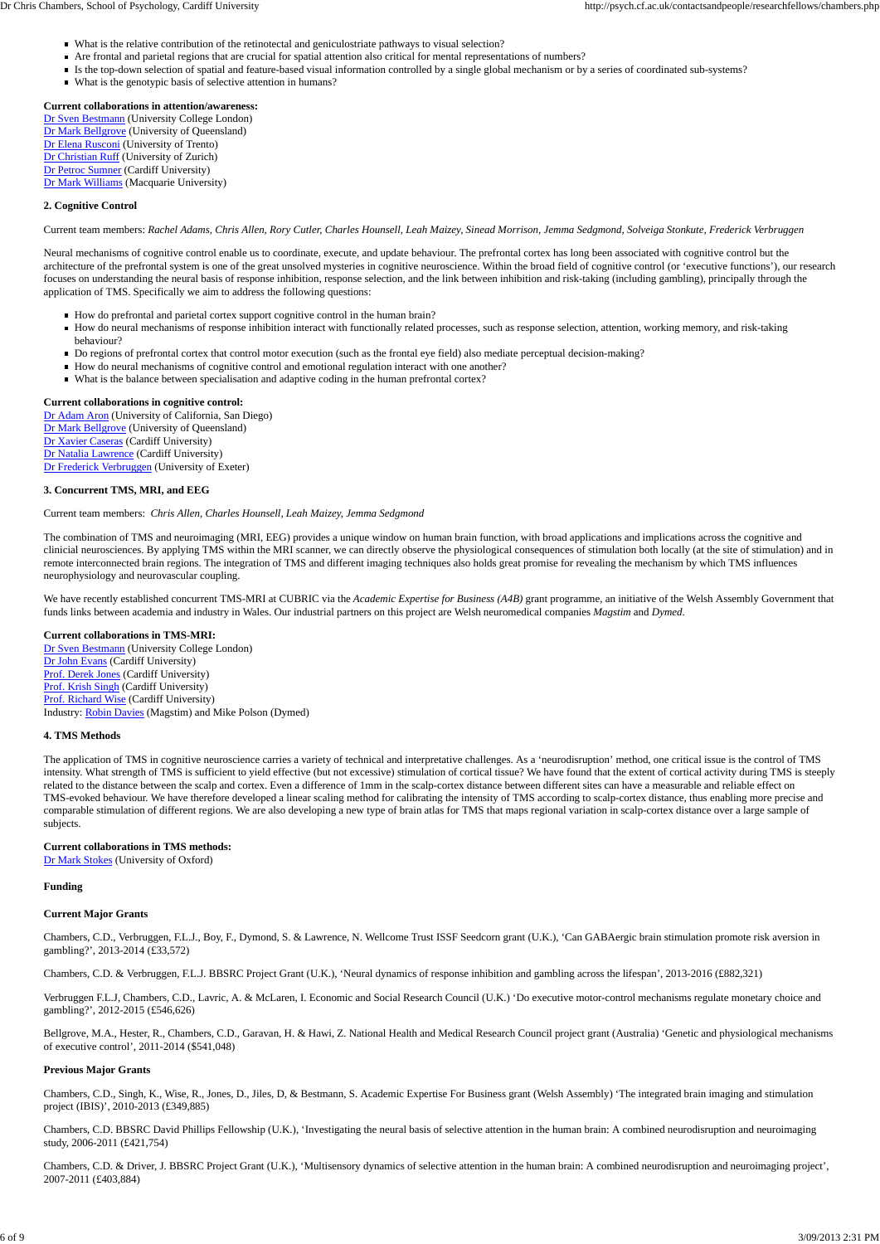#### **Current collaborations in attention/awareness:**

Dr Sven Bestmann (University College London) Dr Mark Bellgrove (University of Queensland) Dr Elena Rusconi (University of Trento) Dr Christian Ruff (University of Zurich) Dr Petroc Sumner (Cardiff University) Dr Mark Williams (Macquarie University)

#### **2. Cognitive Control**

#### Current team members: *Rachel Adams, Chris Allen, Rory Cutler, Charles Hounsell, Leah Maizey, Sinead Morrison, Jemma Sedgmond, Solveiga Stonkute, Frederick Verbruggen*

Neural mechanisms of cognitive control enable us to coordinate, execute, and update behaviour. The prefrontal cortex has long been associated with cognitive control but the architecture of the prefrontal system is one of the great unsolved mysteries in cognitive neuroscience. Within the broad field of cognitive control (or 'executive functions'), our research focuses on understanding the neural basis of response inhibition, response selection, and the link between inhibition and risk-taking (including gambling), principally through the application of TMS. Specifically we aim to address the following questions:

- How do prefrontal and parietal cortex support cognitive control in the human brain?
- How do neural mechanisms of response inhibition interact with functionally related processes, such as response selection, attention, working memory, and risk-taking behaviour?
- Do regions of prefrontal cortex that control motor execution (such as the frontal eye field) also mediate perceptual decision-making?
- How do neural mechanisms of cognitive control and emotional regulation interact with one another?
- What is the balance between specialisation and adaptive coding in the human prefrontal cortex?

#### **Current collaborations in cognitive control:**

Dr Adam Aron (University of California, San Diego) Dr Mark Bellgrove (University of Queensland) Dr Xavier Caseras (Cardiff University) Dr Natalia Lawrence (Cardiff University) Dr Frederick Verbruggen (University of Exeter)

#### **3. Concurrent TMS, MRI, and EEG**

#### Current team members: *Chris Allen, Charles Hounsell, Leah Maizey, Jemma Sedgmond*

Bellgrove, M.A., Hester, R., Chambers, C.D., Garavan, H. & Hawi, Z. National Health and Medical Research Council project grant (Australia) 'Genetic and physiological mechanisms of executive control', 2011-2014 (\$541,048)

The combination of TMS and neuroimaging (MRI, EEG) provides a unique window on human brain function, with broad applications and implications across the cognitive and clinicial neurosciences. By applying TMS within the MRI scanner, we can directly observe the physiological consequences of stimulation both locally (at the site of stimulation) and in remote interconnected brain regions. The integration of TMS and different imaging techniques also holds great promise for revealing the mechanism by which TMS influences neurophysiology and neurovascular coupling.

We have recently established concurrent TMS-MRI at CUBRIC via the *Academic Expertise for Business (A4B)* grant programme, an initiative of the Welsh Assembly Government that funds links between academia and industry in Wales. Our industrial partners on this project are Welsh neuromedical companies *Magstim* and *Dymed*.

#### **Current collaborations in TMS-MRI:**

Dr Sven Bestmann (University College London) Dr John Evans (Cardiff University) Prof. Derek Jones (Cardiff University) Prof. Krish Singh (Cardiff University) Prof. Richard Wise (Cardiff University) Industry: Robin Davies (Magstim) and Mike Polson (Dymed)

#### **4. TMS Methods**

The application of TMS in cognitive neuroscience carries a variety of technical and interpretative challenges. As a 'neurodisruption' method, one critical issue is the control of TMS intensity. What strength of TMS is sufficient to yield effective (but not excessive) stimulation of cortical tissue? We have found that the extent of cortical activity during TMS is steeply related to the distance between the scalp and cortex. Even a difference of 1mm in the scalp-cortex distance between different sites can have a measurable and reliable effect on TMS-evoked behaviour. We have therefore developed a linear scaling method for calibrating the intensity of TMS according to scalp-cortex distance, thus enabling more precise and comparable stimulation of different regions. We are also developing a new type of brain atlas for TMS that maps regional variation in scalp-cortex distance over a large sample of subjects.

#### **Current collaborations in TMS methods:**

Dr Mark Stokes (University of Oxford)

#### **Funding**

#### **Current Major Grants**

Chambers, C.D., Verbruggen, F.L.J., Boy, F., Dymond, S. & Lawrence, N. Wellcome Trust ISSF Seedcorn grant (U.K.), 'Can GABAergic brain stimulation promote risk aversion in

gambling?', 2013-2014 (£33,572)

Chambers, C.D. & Verbruggen, F.L.J. BBSRC Project Grant (U.K.), 'Neural dynamics of response inhibition and gambling across the lifespan', 2013-2016 (£882,321)

Verbruggen F.L.J, Chambers, C.D., Lavric, A. & McLaren, I. Economic and Social Research Council (U.K.) 'Do executive motor-control mechanisms regulate monetary choice and gambling?', 2012-2015 (£546,626)

#### **Previous Major Grants**

Chambers, C.D., Singh, K., Wise, R., Jones, D., Jiles, D, & Bestmann, S. Academic Expertise For Business grant (Welsh Assembly) 'The integrated brain imaging and stimulation project (IBIS)', 2010-2013 (£349,885)

Chambers, C.D. BBSRC David Phillips Fellowship (U.K.), 'Investigating the neural basis of selective attention in the human brain: A combined neurodisruption and neuroimaging study, 2006-2011 (£421,754)

Chambers, C.D. & Driver, J. BBSRC Project Grant (U.K.), 'Multisensory dynamics of selective attention in the human brain: A combined neurodisruption and neuroimaging project', 2007-2011 (£403,884)

- What is the relative contribution of the retinotectal and geniculostriate pathways to visual selection?
- Are frontal and parietal regions that are crucial for spatial attention also critical for mental representations of numbers?
- Is the top-down selection of spatial and feature-based visual information controlled by a single global mechanism or by a series of coordinated sub-systems?
- What is the genotypic basis of selective attention in humans?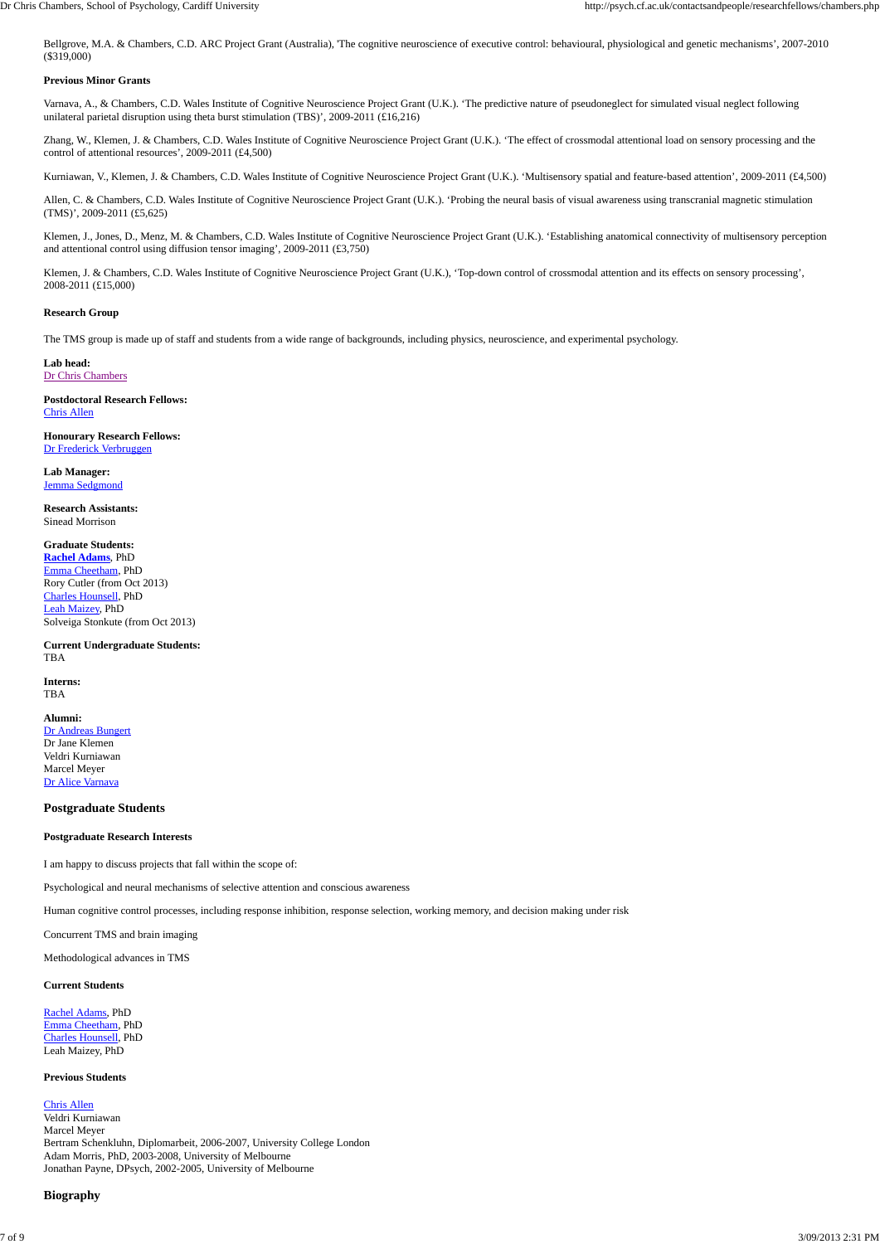Bellgrove, M.A. & Chambers, C.D. ARC Project Grant (Australia), 'The cognitive neuroscience of executive control: behavioural, physiological and genetic mechanisms', 2007-2010 (\$319,000)

#### **Previous Minor Grants**

Varnava, A., & Chambers, C.D. Wales Institute of Cognitive Neuroscience Project Grant (U.K.). 'The predictive nature of pseudoneglect for simulated visual neglect following unilateral parietal disruption using theta burst stimulation (TBS)', 2009-2011 (£16,216)

Allen, C. & Chambers, C.D. Wales Institute of Cognitive Neuroscience Project Grant (U.K.). 'Probing the neural basis of visual awareness using transcranial magnetic stimulation (TMS)', 2009-2011 (£5,625)

Zhang, W., Klemen, J. & Chambers, C.D. Wales Institute of Cognitive Neuroscience Project Grant (U.K.). 'The effect of crossmodal attentional load on sensory processing and the control of attentional resources', 2009-2011 (£4,500)

Kurniawan, V., Klemen, J. & Chambers, C.D. Wales Institute of Cognitive Neuroscience Project Grant (U.K.). 'Multisensory spatial and feature-based attention', 2009-2011 (£4,500)

Klemen, J., Jones, D., Menz, M. & Chambers, C.D. Wales Institute of Cognitive Neuroscience Project Grant (U.K.). 'Establishing anatomical connectivity of multisensory perception and attentional control using diffusion tensor imaging', 2009-2011 (£3,750)

Klemen, J. & Chambers, C.D. Wales Institute of Cognitive Neuroscience Project Grant (U.K.), 'Top-down control of crossmodal attention and its effects on sensory processing', 2008-2011 (£15,000)

#### **Research Group**

The TMS group is made up of staff and students from a wide range of backgrounds, including physics, neuroscience, and experimental psychology.

**Lab head:** Dr Chris Chambers

**Postdoctoral Research Fellows:** Chris Allen

**Honourary Research Fellows:** Dr Frederick Verbruggen

**Lab Manager:** Jemma Sedgmond

**Research Assistants:** Sinead Morrison

#### **Graduate Students:**

**Rachel Adams**, PhD Emma Cheetham, PhD Rory Cutler (from Oct 2013) Charles Hounsell, PhD Leah Maizey, PhD Solveiga Stonkute (from Oct 2013)

**Current Undergraduate Students:** TBA

**Interns:** TBA

#### **Alumni:**

Dr Andreas Bungert Dr Jane Klemen Veldri Kurniawan Marcel Meyer Dr Alice Varnava

#### **Postgraduate Students**

#### **Postgraduate Research Interests**

I am happy to discuss projects that fall within the scope of:

Psychological and neural mechanisms of selective attention and conscious awareness

Human cognitive control processes, including response inhibition, response selection, working memory, and decision making under risk

Concurrent TMS and brain imaging

Methodological advances in TMS

#### **Current Students**

Rachel Adams, PhD Emma Cheetham, PhD Charles Hounsell, PhD Leah Maizey, PhD

#### **Previous Students**

#### Chris Allen

Veldri Kurniawan Marcel Meyer Bertram Schenkluhn, Diplomarbeit, 2006-2007, University College London Adam Morris, PhD, 2003-2008, University of Melbourne Jonathan Payne, DPsych, 2002-2005, University of Melbourne

#### **Biography**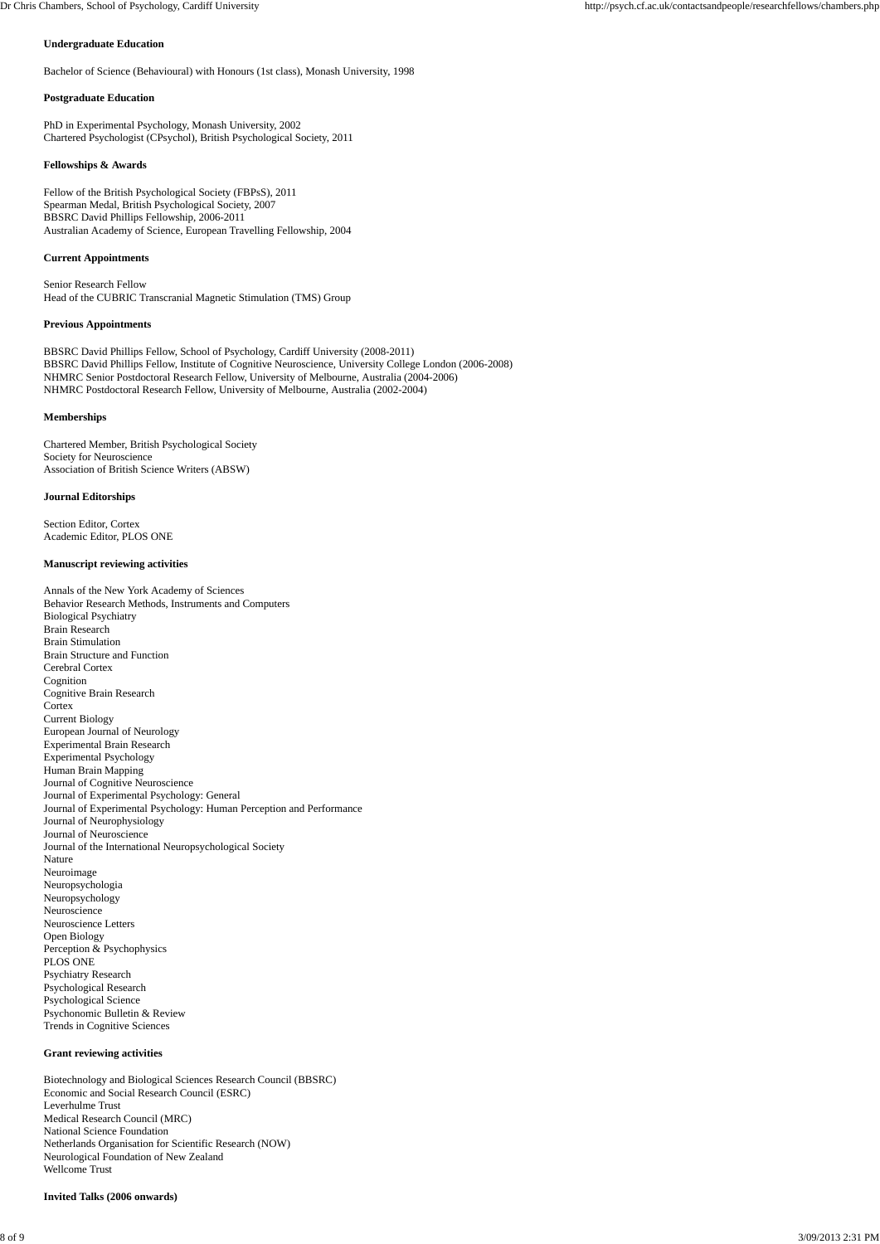#### **Undergraduate Education**

Bachelor of Science (Behavioural) with Honours (1st class), Monash University, 1998

#### **Postgraduate Education**

PhD in Experimental Psychology, Monash University, 2002 Chartered Psychologist (CPsychol), British Psychological Society, 2011

#### **Fellowships & Awards**

Fellow of the British Psychological Society (FBPsS), 2011 Spearman Medal, British Psychological Society, 2007 BBSRC David Phillips Fellowship, 2006-2011 Australian Academy of Science, European Travelling Fellowship, 2004

#### **Current Appointments**

Senior Research Fellow Head of the CUBRIC Transcranial Magnetic Stimulation (TMS) Group

#### **Previous Appointments**

BBSRC David Phillips Fellow, School of Psychology, Cardiff University (2008-2011) BBSRC David Phillips Fellow, Institute of Cognitive Neuroscience, University College London (2006-2008) NHMRC Senior Postdoctoral Research Fellow, University of Melbourne, Australia (2004-2006) NHMRC Postdoctoral Research Fellow, University of Melbourne, Australia (2002-2004)

#### **Memberships**

Chartered Member, British Psychological Society Society for Neuroscience Association of British Science Writers (ABSW)

#### **Journal Editorships**

Section Editor, Cortex Academic Editor, PLOS ONE

#### **Manuscript reviewing activities**

Annals of the New York Academy of Sciences Behavior Research Methods, Instruments and Computers Biological Psychiatry Brain Research Brain Stimulation Brain Structure and Function Cerebral Cortex Cognition Cognitive Brain Research **Cortex** Current Biology European Journal of Neurology Experimental Brain Research Experimental Psychology Human Brain Mapping Journal of Cognitive Neuroscience Journal of Experimental Psychology: General Journal of Experimental Psychology: Human Perception and Performance Journal of Neurophysiology Journal of Neuroscience Journal of the International Neuropsychological Society Nature Neuroimage Neuropsychologia Neuropsychology Neuroscience Neuroscience Letters Open Biology

Perception & Psychophysics PLOS ONE Psychiatry Research Psychological Research Psychological Science Psychonomic Bulletin & Review Trends in Cognitive Sciences

#### **Grant reviewing activities**

Biotechnology and Biological Sciences Research Council (BBSRC) Economic and Social Research Council (ESRC) Leverhulme Trust Medical Research Council (MRC) National Science Foundation Netherlands Organisation for Scientific Research (NOW) Neurological Foundation of New Zealand Wellcome Trust

**Invited Talks (2006 onwards)**